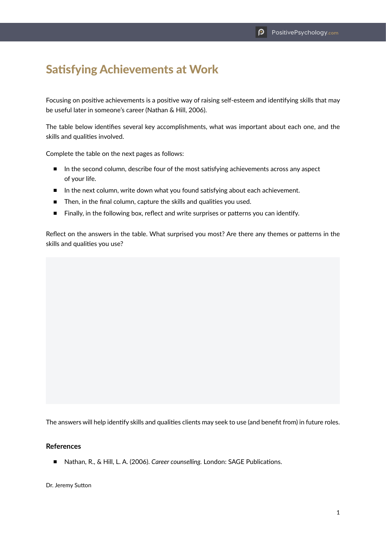## Satisfying Achievements at Work

Focusing on positive achievements is a positive way of raising self-esteem and identifying skills that may be useful later in someone's career (Nathan & Hill, 2006).

The table below identifies several key accomplishments, what was important about each one, and the skills and qualities involved.

Complete the table on the next pages as follows:

- In the second column, describe four of the most satisfying achievements across any aspect of your life.
- In the next column, write down what you found satisfying about each achievement.
- Then, in the final column, capture the skills and qualities you used.
- Finally, in the following box, reflect and write surprises or patterns you can identify.

Reflect on the answers in the table. What surprised you most? Are there any themes or patterns in the skills and qualities you use?

The answers will help identify skills and qualities clients may seek to use (and benefit from) in future roles.

## **References**

■ Nathan, R., & Hill, L. A. (2006). *Career counselling.* London: SAGE Publications.

Dr. Jeremy Sutton